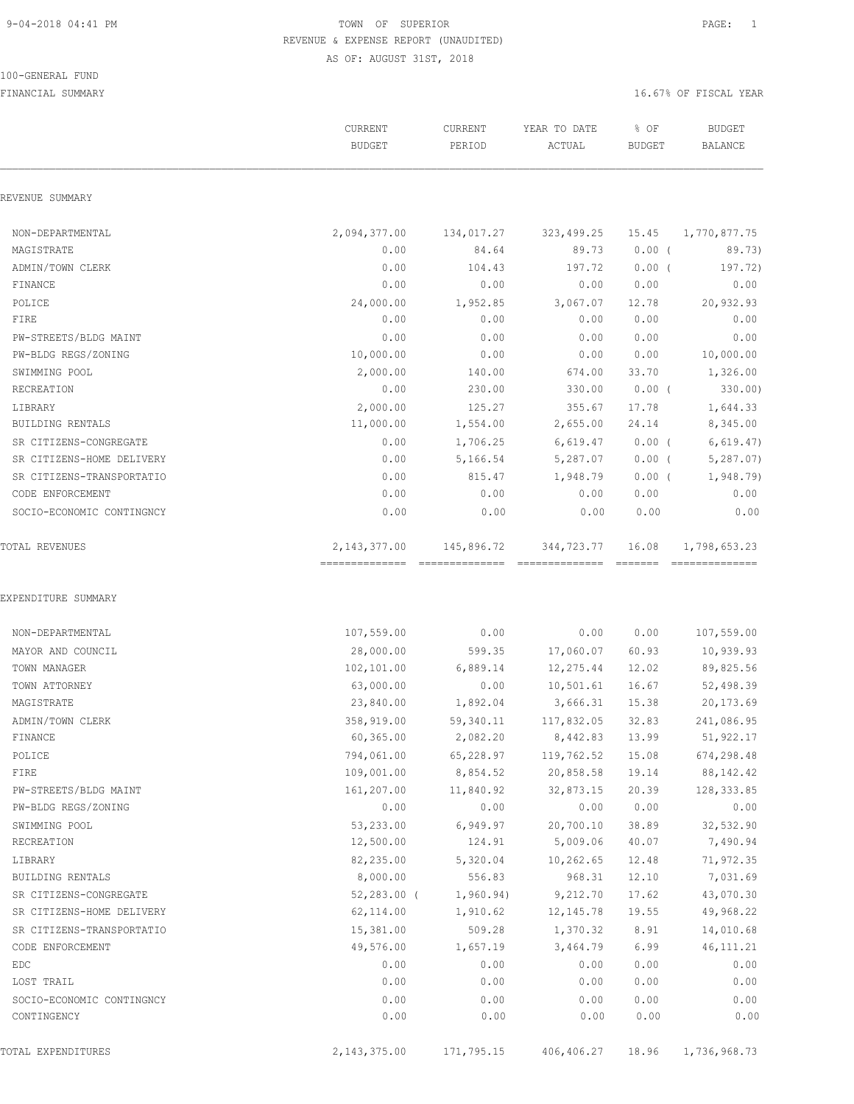100-GENERAL FUND

# 9-04-2018 04:41 PM TOWN OF SUPERIOR PAGE: 1 REVENUE & EXPENSE REPORT (UNAUDITED) AS OF: AUGUST 31ST, 2018

|                           | <b>CURRENT</b><br><b>BUDGET</b>  | CURRENT<br>PERIOD       | YEAR TO DATE<br>ACTUAL       | % OF<br><b>BUDGET</b>                                                                                                                                                                                                                                                                                                                                                                                                                                                                           | <b>BUDGET</b><br><b>BALANCE</b> |
|---------------------------|----------------------------------|-------------------------|------------------------------|-------------------------------------------------------------------------------------------------------------------------------------------------------------------------------------------------------------------------------------------------------------------------------------------------------------------------------------------------------------------------------------------------------------------------------------------------------------------------------------------------|---------------------------------|
| REVENUE SUMMARY           |                                  |                         |                              |                                                                                                                                                                                                                                                                                                                                                                                                                                                                                                 |                                 |
| NON-DEPARTMENTAL          | 2,094,377.00                     | 134,017.27              | 323,499.25                   | 15.45                                                                                                                                                                                                                                                                                                                                                                                                                                                                                           | 1,770,877.75                    |
| MAGISTRATE                | 0.00                             | 84.64                   | 89.73                        | $0.00$ (                                                                                                                                                                                                                                                                                                                                                                                                                                                                                        | 89.73)                          |
| ADMIN/TOWN CLERK          | 0.00                             | 104.43                  | 197.72                       | $0.00$ (                                                                                                                                                                                                                                                                                                                                                                                                                                                                                        | 197.72)                         |
| FINANCE                   | 0.00                             | 0.00                    | 0.00                         | 0.00                                                                                                                                                                                                                                                                                                                                                                                                                                                                                            | 0.00                            |
| POLICE                    | 24,000.00                        | 1,952.85                | 3,067.07                     | 12.78                                                                                                                                                                                                                                                                                                                                                                                                                                                                                           | 20,932.93                       |
| FIRE                      | 0.00                             | 0.00                    | 0.00                         | 0.00                                                                                                                                                                                                                                                                                                                                                                                                                                                                                            | 0.00                            |
| PW-STREETS/BLDG MAINT     | 0.00                             | 0.00                    | 0.00                         | 0.00                                                                                                                                                                                                                                                                                                                                                                                                                                                                                            | 0.00                            |
| PW-BLDG REGS/ZONING       | 10,000.00                        | 0.00                    | 0.00                         | 0.00                                                                                                                                                                                                                                                                                                                                                                                                                                                                                            | 10,000.00                       |
| SWIMMING POOL             | 2,000.00                         | 140.00                  | 674.00                       | 33.70                                                                                                                                                                                                                                                                                                                                                                                                                                                                                           | 1,326.00                        |
| RECREATION                | 0.00                             | 230.00                  | 330.00                       | 0.00(                                                                                                                                                                                                                                                                                                                                                                                                                                                                                           | 330.00                          |
| LIBRARY                   | 2,000.00                         | 125.27                  | 355.67                       | 17.78                                                                                                                                                                                                                                                                                                                                                                                                                                                                                           | 1,644.33                        |
| BUILDING RENTALS          | 11,000.00                        | 1,554.00                | 2,655.00                     | 24.14                                                                                                                                                                                                                                                                                                                                                                                                                                                                                           | 8,345.00                        |
| SR CITIZENS-CONGREGATE    | 0.00                             | 1,706.25                | 6,619.47                     | 0.00(                                                                                                                                                                                                                                                                                                                                                                                                                                                                                           | 6,619.47)                       |
| SR CITIZENS-HOME DELIVERY | 0.00                             | 5,166.54                | 5,287.07                     | $0.00$ (                                                                                                                                                                                                                                                                                                                                                                                                                                                                                        | 5, 287.07)                      |
| SR CITIZENS-TRANSPORTATIO | 0.00                             | 815.47                  | 1,948.79                     | 0.00(                                                                                                                                                                                                                                                                                                                                                                                                                                                                                           | 1,948.79)                       |
| CODE ENFORCEMENT          | 0.00                             | 0.00                    | 0.00                         | 0.00                                                                                                                                                                                                                                                                                                                                                                                                                                                                                            | 0.00                            |
| SOCIO-ECONOMIC CONTINGNCY | 0.00                             | 0.00                    | 0.00                         | 0.00                                                                                                                                                                                                                                                                                                                                                                                                                                                                                            | 0.00                            |
| TOTAL REVENUES            | 2, 143, 377.00<br>============== | 145,896.72<br>========= | 344,723.77<br>============== | 16.08<br>$\begin{array}{cccccccccccccc} \multicolumn{2}{c}{} & \multicolumn{2}{c}{} & \multicolumn{2}{c}{} & \multicolumn{2}{c}{} & \multicolumn{2}{c}{} & \multicolumn{2}{c}{} & \multicolumn{2}{c}{} & \multicolumn{2}{c}{} & \multicolumn{2}{c}{} & \multicolumn{2}{c}{} & \multicolumn{2}{c}{} & \multicolumn{2}{c}{} & \multicolumn{2}{c}{} & \multicolumn{2}{c}{} & \multicolumn{2}{c}{} & \multicolumn{2}{c}{} & \multicolumn{2}{c}{} & \multicolumn{2}{c}{} & \multicolumn{2}{c}{} & \$ | 1,798,653.23                    |
| EXPENDITURE SUMMARY       |                                  |                         |                              |                                                                                                                                                                                                                                                                                                                                                                                                                                                                                                 |                                 |
| NON-DEPARTMENTAL          | 107,559.00                       | 0.00                    | 0.00                         | 0.00                                                                                                                                                                                                                                                                                                                                                                                                                                                                                            | 107,559.00                      |
| MAYOR AND COUNCIL         | 28,000.00                        | 599.35                  | 17,060.07                    | 60.93                                                                                                                                                                                                                                                                                                                                                                                                                                                                                           | 10,939.93                       |
| TOWN MANAGER              | 102,101.00                       | 6,889.14                | 12,275.44                    | 12.02                                                                                                                                                                                                                                                                                                                                                                                                                                                                                           | 89,825.56                       |
| TOWN ATTORNEY             | 63,000.00                        | 0.00                    | 10,501.61                    | 16.67                                                                                                                                                                                                                                                                                                                                                                                                                                                                                           | 52,498.39                       |
| MAGISTRATE                | 23,840.00                        | 1,892.04                | 3,666.31                     | 15.38                                                                                                                                                                                                                                                                                                                                                                                                                                                                                           | 20,173.69                       |
| ADMIN/TOWN CLERK          | 358,919.00                       | 59,340.11               | 117,832.05                   | 32.83                                                                                                                                                                                                                                                                                                                                                                                                                                                                                           | 241,086.95                      |
| FINANCE                   | 60, 365.00                       | 2,082.20                | 8,442.83                     | 13.99                                                                                                                                                                                                                                                                                                                                                                                                                                                                                           | 51,922.17                       |
| POLICE                    | 794,061.00                       | 65,228.97               | 119,762.52                   | 15.08                                                                                                                                                                                                                                                                                                                                                                                                                                                                                           | 674,298.48                      |
| FIRE                      | 109,001.00                       | 8,854.52                | 20,858.58                    | 19.14                                                                                                                                                                                                                                                                                                                                                                                                                                                                                           | 88, 142. 42                     |
| PW-STREETS/BLDG MAINT     | 161,207.00                       | 11,840.92               | 32,873.15                    | 20.39                                                                                                                                                                                                                                                                                                                                                                                                                                                                                           | 128, 333.85                     |
| PW-BLDG REGS/ZONING       | 0.00                             | 0.00                    | 0.00                         | 0.00                                                                                                                                                                                                                                                                                                                                                                                                                                                                                            | 0.00                            |
| SWIMMING POOL             | 53,233.00                        | 6,949.97                | 20,700.10                    | 38.89                                                                                                                                                                                                                                                                                                                                                                                                                                                                                           | 32,532.90                       |
| RECREATION                | 12,500.00                        | 124.91                  | 5,009.06                     | 40.07                                                                                                                                                                                                                                                                                                                                                                                                                                                                                           | 7,490.94                        |
| LIBRARY                   | 82,235.00                        | 5,320.04                | 10,262.65                    | 12.48                                                                                                                                                                                                                                                                                                                                                                                                                                                                                           | 71,972.35                       |
| BUILDING RENTALS          | 8,000.00                         | 556.83                  | 968.31                       | 12.10                                                                                                                                                                                                                                                                                                                                                                                                                                                                                           | 7,031.69                        |
| SR CITIZENS-CONGREGATE    | $52,283.00$ (                    | 1,960.94)               | 9,212.70                     | 17.62                                                                                                                                                                                                                                                                                                                                                                                                                                                                                           | 43,070.30                       |
| SR CITIZENS-HOME DELIVERY | 62,114.00                        | 1,910.62                | 12,145.78                    | 19.55                                                                                                                                                                                                                                                                                                                                                                                                                                                                                           | 49,968.22                       |
| SR CITIZENS-TRANSPORTATIO | 15,381.00                        | 509.28                  | 1,370.32                     | 8.91                                                                                                                                                                                                                                                                                                                                                                                                                                                                                            | 14,010.68                       |
| CODE ENFORCEMENT          | 49,576.00                        | 1,657.19                | 3,464.79                     | 6.99                                                                                                                                                                                                                                                                                                                                                                                                                                                                                            | 46, 111.21                      |
| EDC                       | 0.00                             | 0.00                    | 0.00                         | 0.00                                                                                                                                                                                                                                                                                                                                                                                                                                                                                            | 0.00                            |
| LOST TRAIL                | 0.00                             | 0.00                    | 0.00                         | 0.00                                                                                                                                                                                                                                                                                                                                                                                                                                                                                            | 0.00                            |
| SOCIO-ECONOMIC CONTINGNCY | 0.00                             | 0.00                    | 0.00                         | 0.00                                                                                                                                                                                                                                                                                                                                                                                                                                                                                            | 0.00                            |
| CONTINGENCY               | 0.00                             | 0.00                    | 0.00                         | 0.00                                                                                                                                                                                                                                                                                                                                                                                                                                                                                            | 0.00                            |
| TOTAL EXPENDITURES        | 2, 143, 375.00                   | 171,795.15              | 406,406.27                   | 18.96                                                                                                                                                                                                                                                                                                                                                                                                                                                                                           | 1,736,968.73                    |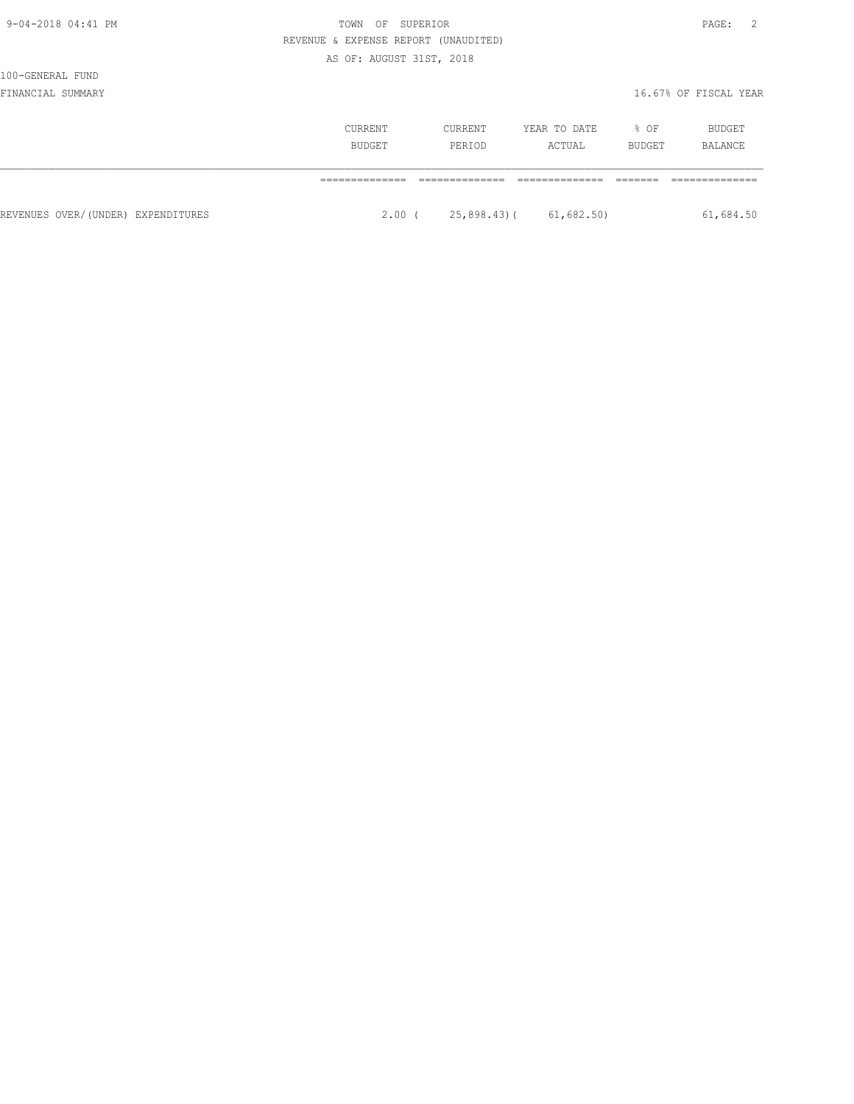| 171<br>۰.<br>- |  |
|----------------|--|
|----------------|--|

# 9-04-2018 04:41 PM TOWN OF SUPERIOR REVENUE & EXPENSE REPORT (UNAUDITED)

# AS OF: AUGUST 31ST, 2018

# 100-GENERAL FUND

|                                    | CURRENT<br>BUDGET | CURRENT<br>PERIOD | YEAR TO DATE<br>ACTUAL | % OF<br>BUDGET | BUDGET<br>BALANCE |  |
|------------------------------------|-------------------|-------------------|------------------------|----------------|-------------------|--|
|                                    |                   |                   |                        |                |                   |  |
| REVENUES OVER/(UNDER) EXPENDITURES | $2.00$ (          |                   | 25,898.43)(61,682.50)  |                | 61,684.50         |  |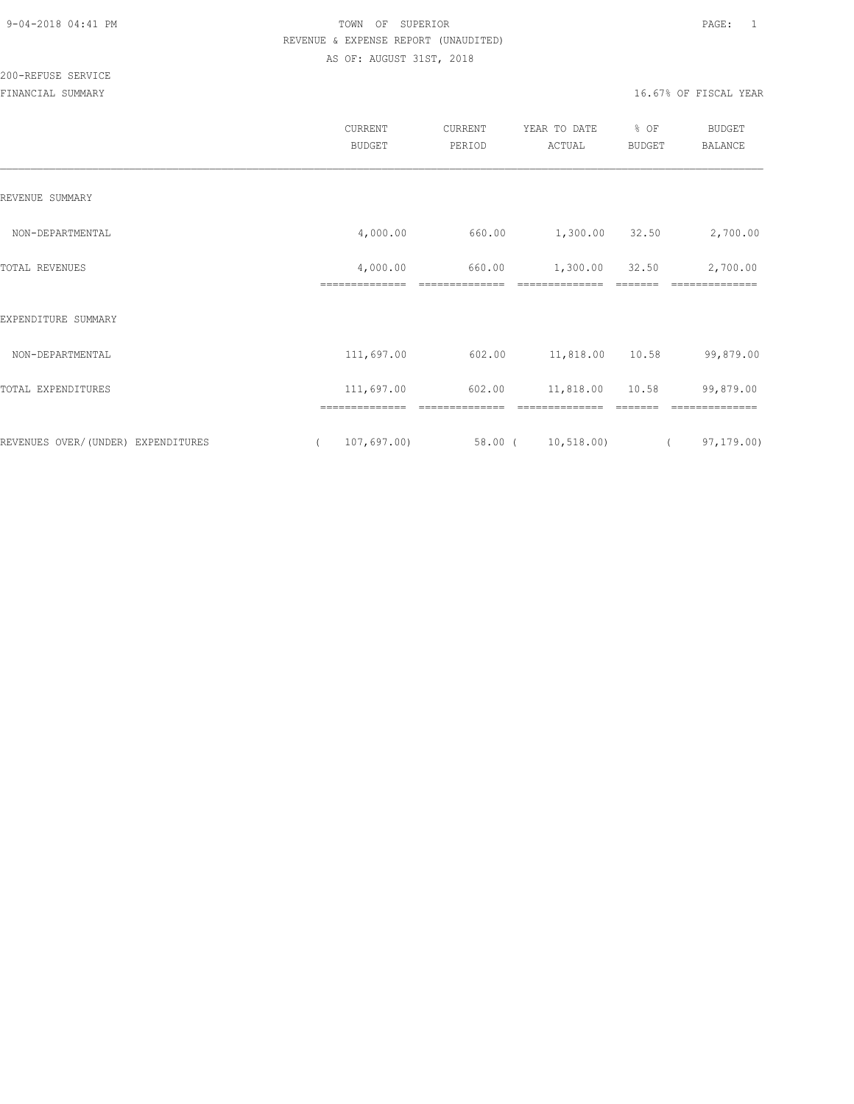|                                     | CURRENT<br><b>BUDGET</b>   | <b>CURRENT</b><br>PERIOD | YEAR TO DATE<br>ACTUAL | % OF<br><b>BUDGET</b> | <b>BUDGET</b><br><b>BALANCE</b> |
|-------------------------------------|----------------------------|--------------------------|------------------------|-----------------------|---------------------------------|
| REVENUE SUMMARY                     |                            |                          |                        |                       |                                 |
| NON-DEPARTMENTAL                    | 4,000.00                   | 660.00                   | 1,300.00 32.50         |                       | 2,700.00                        |
| TOTAL REVENUES                      | 4,000.00<br>============== | 660.00<br>-------------- | 1,300.00               | 32.50                 | 2,700.00<br>==============      |
| EXPENDITURE SUMMARY                 |                            |                          |                        |                       |                                 |
| NON-DEPARTMENTAL                    | 111,697.00                 | 602.00                   | 11,818.00 10.58        |                       | 99,879.00                       |
| TOTAL EXPENDITURES                  | 111,697.00                 | 602.00                   | 11,818.00              | 10.58                 | 99,879.00                       |
|                                     |                            |                          |                        |                       |                                 |
| REVENUES OVER/ (UNDER) EXPENDITURES | 107,697.00<br>$\left($     |                          | 58.00 ( 10,518.00)     |                       | 97,179.00)<br>$\left($          |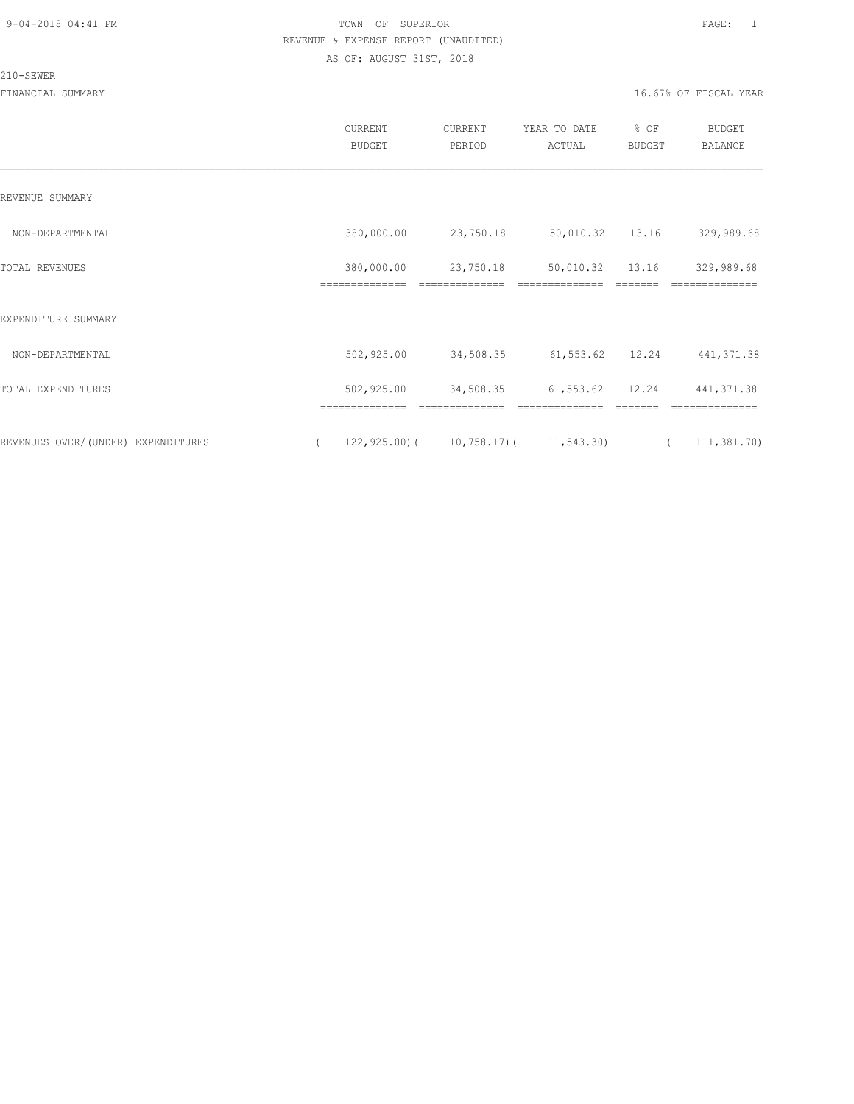#### 210-SEWER

|                                    | CURRENT<br><b>BUDGET</b>                      | CURRENT<br>PERIOD           | YEAR TO DATE<br>ACTUAL | $8$ OF<br><b>BUDGET</b> |            | <b>BUDGET</b><br><b>BALANCE</b> |
|------------------------------------|-----------------------------------------------|-----------------------------|------------------------|-------------------------|------------|---------------------------------|
| REVENUE SUMMARY                    |                                               |                             |                        |                         |            |                                 |
| NON-DEPARTMENTAL                   | 380,000.00                                    | 23,750.18                   |                        | 50,010.32 13.16         |            | 329,989.68                      |
| TOTAL REVENUES                     | 380,000.00<br>==============                  | 23,750.18<br>============== | 50,010.32              | 13.16                   |            | 329,989.68<br>===========       |
| EXPENDITURE SUMMARY                |                                               |                             |                        |                         |            |                                 |
| NON-DEPARTMENTAL                   | 502,925.00                                    | 34,508.35                   | 61,553.62 12.24        |                         |            | 441, 371.38                     |
| TOTAL EXPENDITURES                 | 502,925.00                                    | 34,508.35                   | 61, 553.62             | 12.24                   |            | 441, 371.38                     |
| REVENUES OVER/(UNDER) EXPENDITURES | $122, 925.00$ ( $10, 758.17$ ( $11, 543.30$ ) |                             |                        |                         | $\sqrt{2}$ | 111, 381.70                     |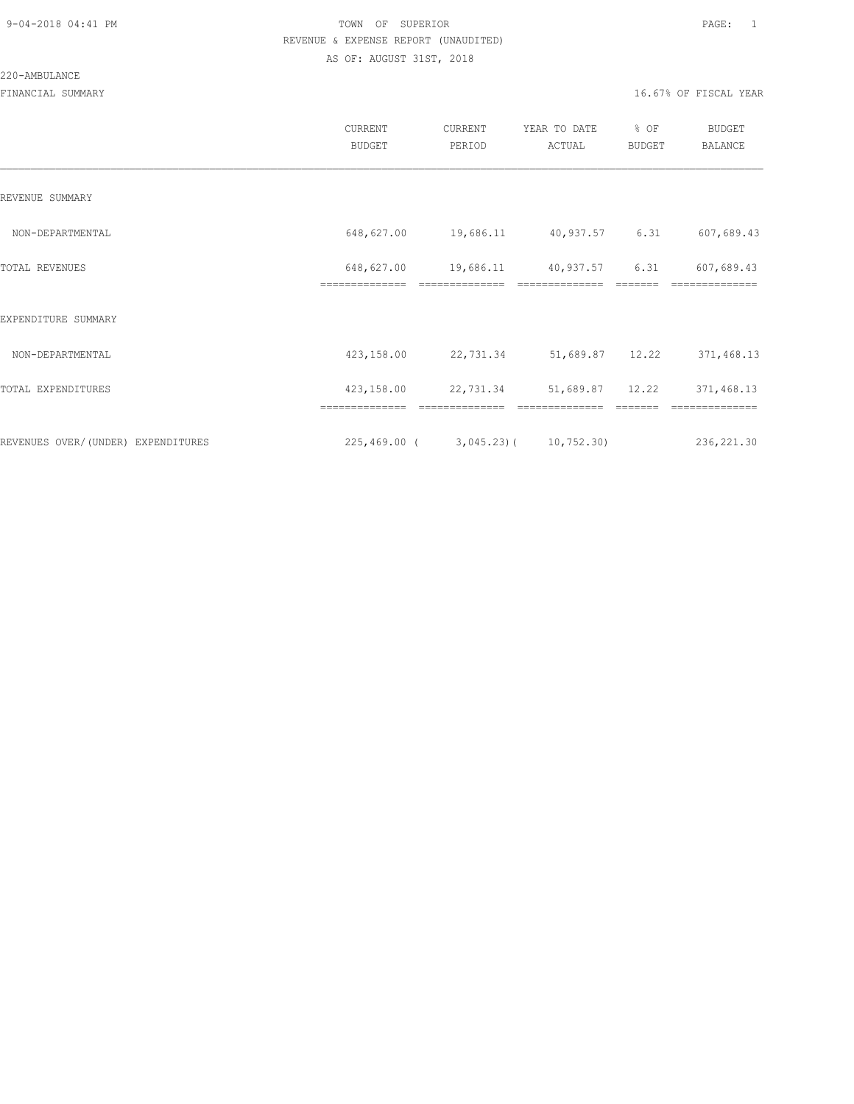### 220-AMBULANCE

|                                    | CURRENT<br><b>BUDGET</b>     | CURRENT<br>PERIOD                     | YEAR TO DATE<br>ACTUAL | % OF<br>BUDGET | <b>BUDGET</b><br>BALANCE |
|------------------------------------|------------------------------|---------------------------------------|------------------------|----------------|--------------------------|
| REVENUE SUMMARY                    |                              |                                       |                        |                |                          |
| NON-DEPARTMENTAL                   | 648,627.00                   | 19,686.11 40,937.57 6.31              |                        |                | 607,689.43               |
| TOTAL REVENUES                     | 648,627.00<br>============== | 19,686.11                             | 40,937.57              | 6.31           | 607,689.43               |
| EXPENDITURE SUMMARY                |                              |                                       |                        |                |                          |
| NON-DEPARTMENTAL                   | 423,158.00                   | 22,731.34 51,689.87 12.22             |                        |                | 371,468.13               |
| TOTAL EXPENDITURES                 | 423,158.00                   | 22,731.34                             | 51,689.87 12.22        |                | 371,468.13               |
|                                    | ==============               | ==============                        | ==============         | =======        | ==============           |
| REVENUES OVER/(UNDER) EXPENDITURES |                              | $225,469.00$ ( 3,045.23) ( 10,752.30) |                        |                | 236,221.30               |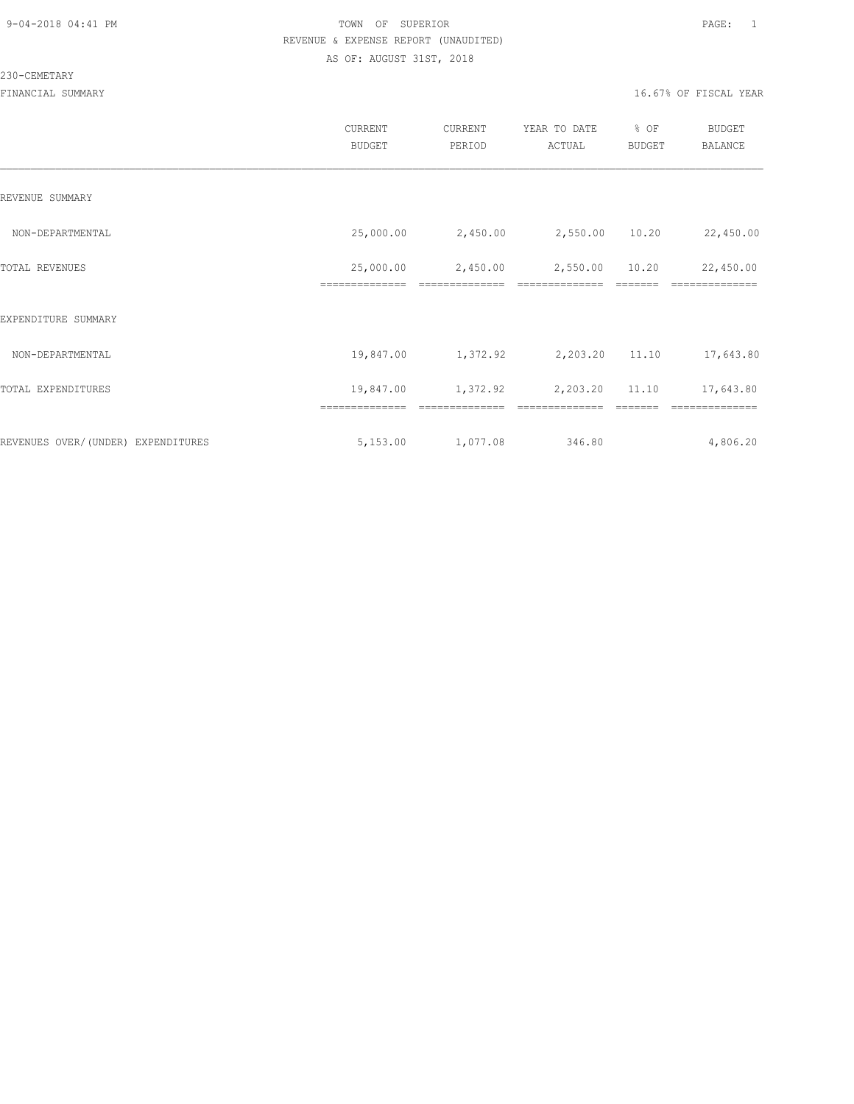#### 230-CEMETARY

|                                    | CURRENT<br><b>BUDGET</b> | CURRENT<br>PERIOD | YEAR TO DATE<br>ACTUAL | % OF<br>BUDGET | <b>BUDGET</b><br><b>BALANCE</b> |
|------------------------------------|--------------------------|-------------------|------------------------|----------------|---------------------------------|
| REVENUE SUMMARY                    |                          |                   |                        |                |                                 |
| NON-DEPARTMENTAL                   | 25,000.00                | 2,450.00          | 2,550.00 10.20         |                | 22,450.00                       |
| TOTAL REVENUES                     | 25,000.00                | 2,450.00          | 2,550.00               | 10.20          | 22,450.00                       |
| EXPENDITURE SUMMARY                |                          |                   |                        |                |                                 |
| NON-DEPARTMENTAL                   | 19,847.00                | 1,372.92          | 2,203.20 11.10         |                | 17,643.80                       |
| TOTAL EXPENDITURES                 | 19,847.00                | 1,372.92          | 2,203.20               | 11.10          | 17,643.80                       |
|                                    | ==============           |                   |                        |                |                                 |
| REVENUES OVER/(UNDER) EXPENDITURES | 5,153.00                 | 1,077.08          | 346.80                 |                | 4,806.20                        |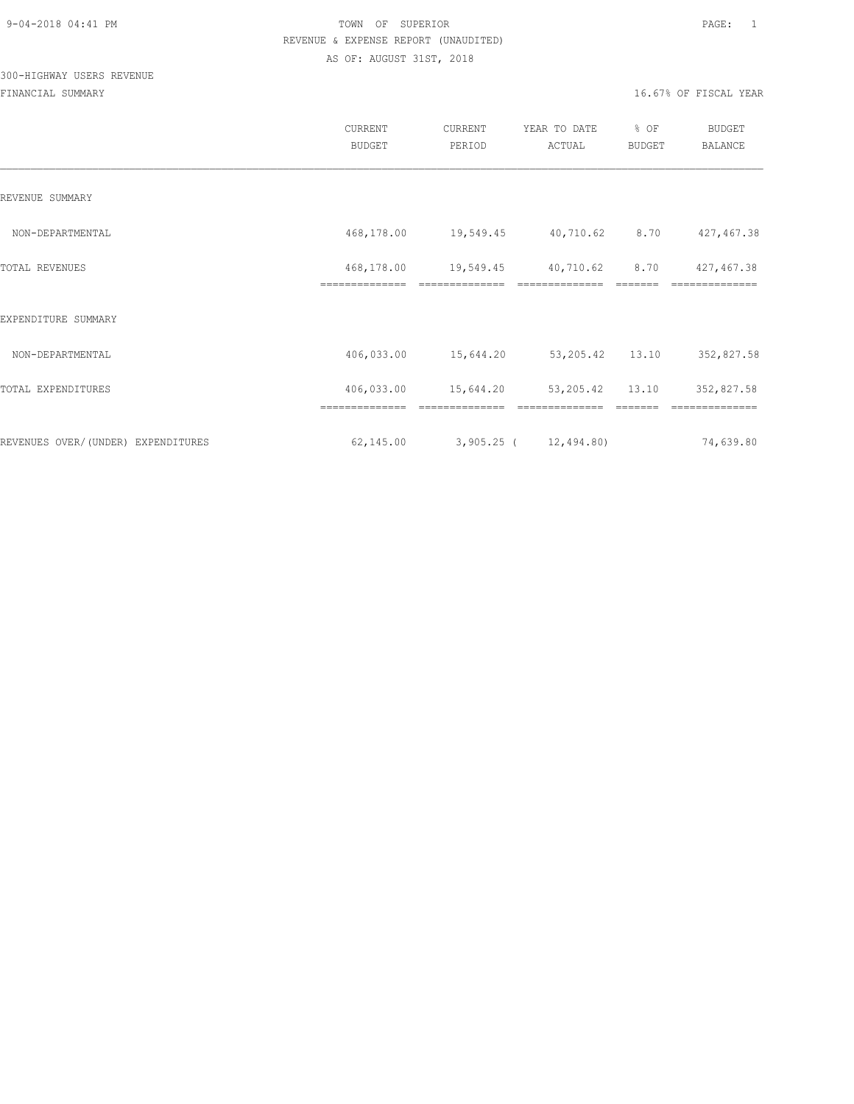# 300-HIGHWAY USERS REVENUE

|                                    | <b>CURRENT</b><br><b>BUDGET</b> | CURRENT<br>PERIOD           | YEAR TO DATE<br>ACTUAL      | % OF<br><b>BUDGET</b> | <b>BUDGET</b><br><b>BALANCE</b> |
|------------------------------------|---------------------------------|-----------------------------|-----------------------------|-----------------------|---------------------------------|
| REVENUE SUMMARY                    |                                 |                             |                             |                       |                                 |
| NON-DEPARTMENTAL                   | 468,178.00                      | 19,549.45 40,710.62         |                             | 8.70                  | 427,467.38                      |
| <b>TOTAL REVENUES</b>              | 468,178.00<br>==============    | 19,549.45<br>============== | 40,710.62<br>============== | 8.70                  | 427,467.38                      |
| EXPENDITURE SUMMARY                |                                 |                             |                             |                       |                                 |
| NON-DEPARTMENTAL                   | 406,033.00                      | 15,644.20                   | 53,205.42 13.10             |                       | 352,827.58                      |
| TOTAL EXPENDITURES                 | 406,033.00                      | 15,644.20                   | 53, 205.42 13.10            |                       | 352,827.58                      |
|                                    |                                 |                             |                             |                       |                                 |
| REVENUES OVER/(UNDER) EXPENDITURES | 62,145.00                       | $3,905.25$ ( $12,494.80$ )  |                             |                       | 74,639.80                       |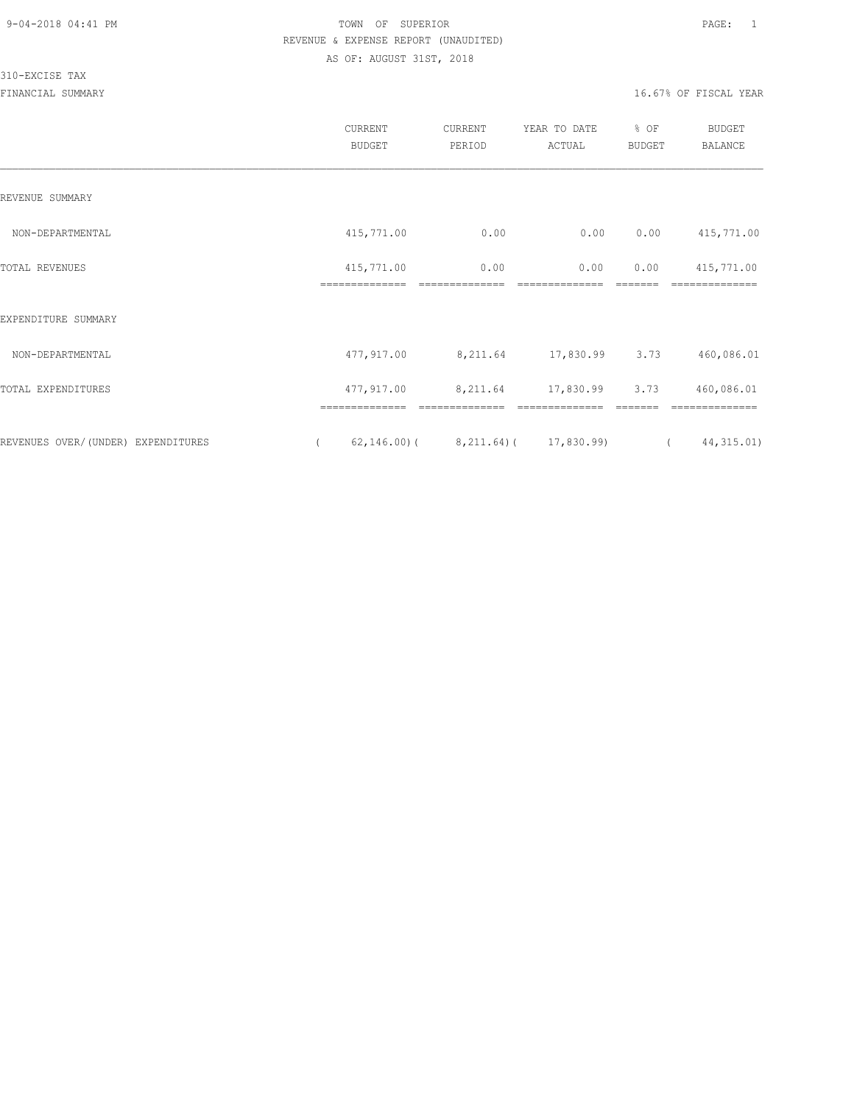#### 310-EXCISE TAX

|                                    | CURRENT<br><b>BUDGET</b>     | CURRENT<br>PERIOD      | YEAR TO DATE<br>ACTUAL                        | % OF<br><b>BUDGET</b> | <b>BUDGET</b><br><b>BALANCE</b> |
|------------------------------------|------------------------------|------------------------|-----------------------------------------------|-----------------------|---------------------------------|
| REVENUE SUMMARY                    |                              |                        |                                               |                       |                                 |
| NON-DEPARTMENTAL                   | 415,771.00                   | 0.00                   | 0.00                                          | 0.00                  | 415,771.00                      |
| TOTAL REVENUES                     | 415,771.00<br>============== | 0.00<br>============== | 0.00                                          | 0.00                  | 415,771.00                      |
| EXPENDITURE SUMMARY                |                              |                        |                                               |                       | ==============                  |
| NON-DEPARTMENTAL                   | 477,917.00                   | 8,211.64               | 17,830.99 3.73                                |                       | 460,086.01                      |
| TOTAL EXPENDITURES                 | 477,917.00                   | 8,211.64               | 17,830.99                                     | 3.73                  | 460,086.01                      |
|                                    |                              |                        |                                               |                       |                                 |
| REVENUES OVER/(UNDER) EXPENDITURES | $\left($                     |                        | $62, 146.00$ ( $8, 211.64$ ( $17, 830.99$ ) ( |                       | 44, 315.01)                     |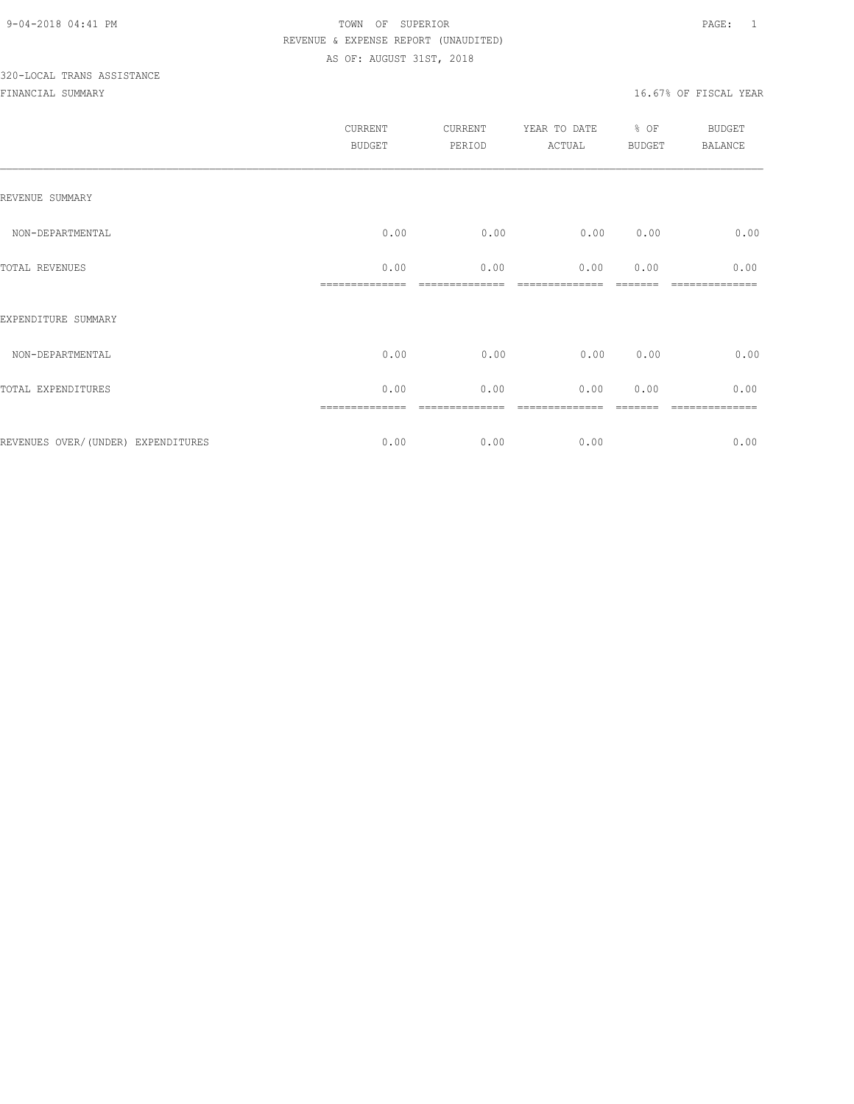# 320-LOCAL TRANS ASSISTANCE

|                                     | CURRENT<br><b>BUDGET</b> | CURRENT<br>PERIOD  | YEAR TO DATE<br>ACTUAL | % OF<br><b>BUDGET</b> | <b>BUDGET</b><br>BALANCE |
|-------------------------------------|--------------------------|--------------------|------------------------|-----------------------|--------------------------|
| REVENUE SUMMARY                     |                          |                    |                        |                       |                          |
| NON-DEPARTMENTAL                    | 0.00                     | 0.00               | 0.00                   | 0.00                  | 0.00                     |
| TOTAL REVENUES                      | 0.00<br>==============   | 0.00<br>---------- | 0.00                   | 0.00                  | 0.00<br>============     |
| EXPENDITURE SUMMARY                 |                          |                    |                        |                       |                          |
| NON-DEPARTMENTAL                    | 0.00                     | 0.00               | 0.00                   | 0.00                  | 0.00                     |
| TOTAL EXPENDITURES                  | 0.00                     | 0.00               | 0.00                   | 0.00                  | 0.00                     |
|                                     |                          |                    |                        |                       |                          |
| REVENUES OVER/ (UNDER) EXPENDITURES | 0.00                     | 0.00               | 0.00                   |                       | 0.00                     |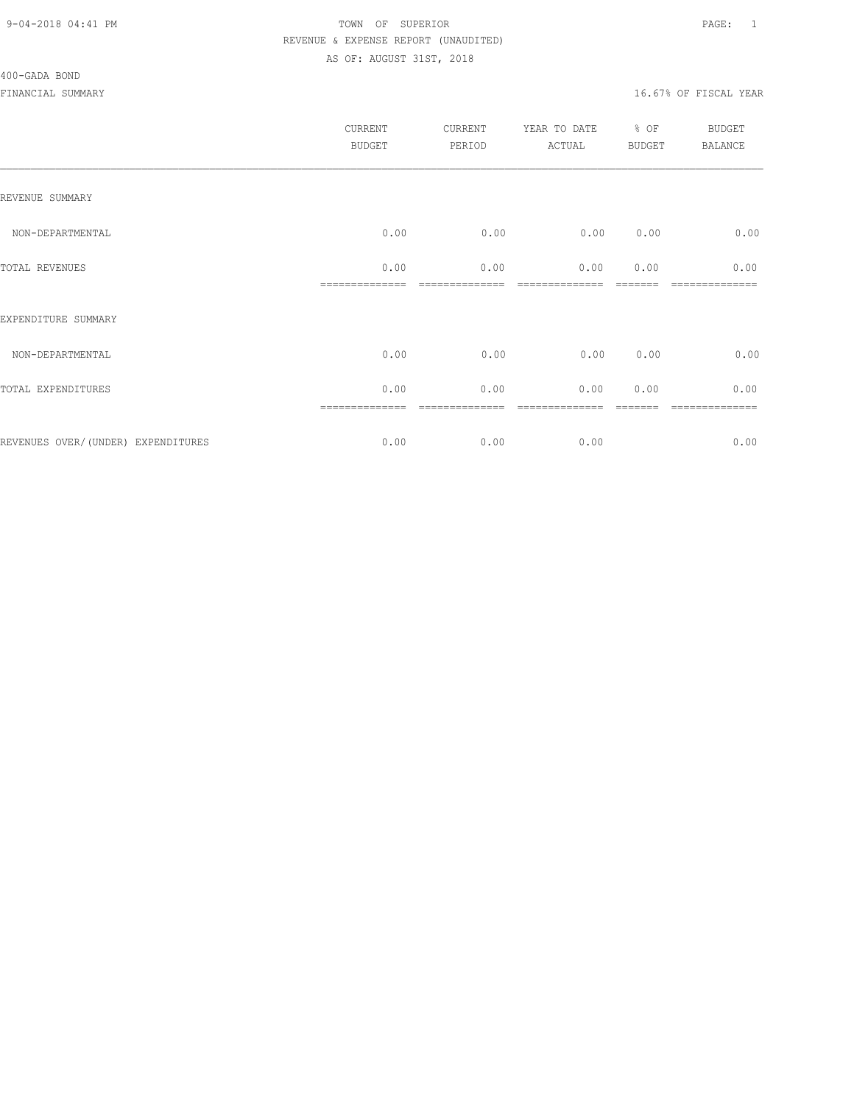#### 400-GADA BOND

|                                    | <b>CURRENT</b><br><b>BUDGET</b> | CURRENT<br>PERIOD | YEAR TO DATE<br>ACTUAL | % OF<br><b>BUDGET</b> | BUDGET<br><b>BALANCE</b> |
|------------------------------------|---------------------------------|-------------------|------------------------|-----------------------|--------------------------|
| REVENUE SUMMARY                    |                                 |                   |                        |                       |                          |
| NON-DEPARTMENTAL                   | 0.00                            | 0.00              | 0.00                   | 0.00                  | 0.00                     |
| TOTAL REVENUES                     | 0.00                            | 0.00              | 0.00                   | 0.00                  | 0.00                     |
| EXPENDITURE SUMMARY                |                                 |                   |                        |                       |                          |
| NON-DEPARTMENTAL                   | 0.00                            | 0.00              | 0.00                   | 0.00                  | 0.00                     |
| TOTAL EXPENDITURES                 | 0.00                            | 0.00              | 0.00                   | 0.00                  | 0.00                     |
| REVENUES OVER/(UNDER) EXPENDITURES | 0.00                            | 0.00              | 0.00                   |                       | =======<br>0.00          |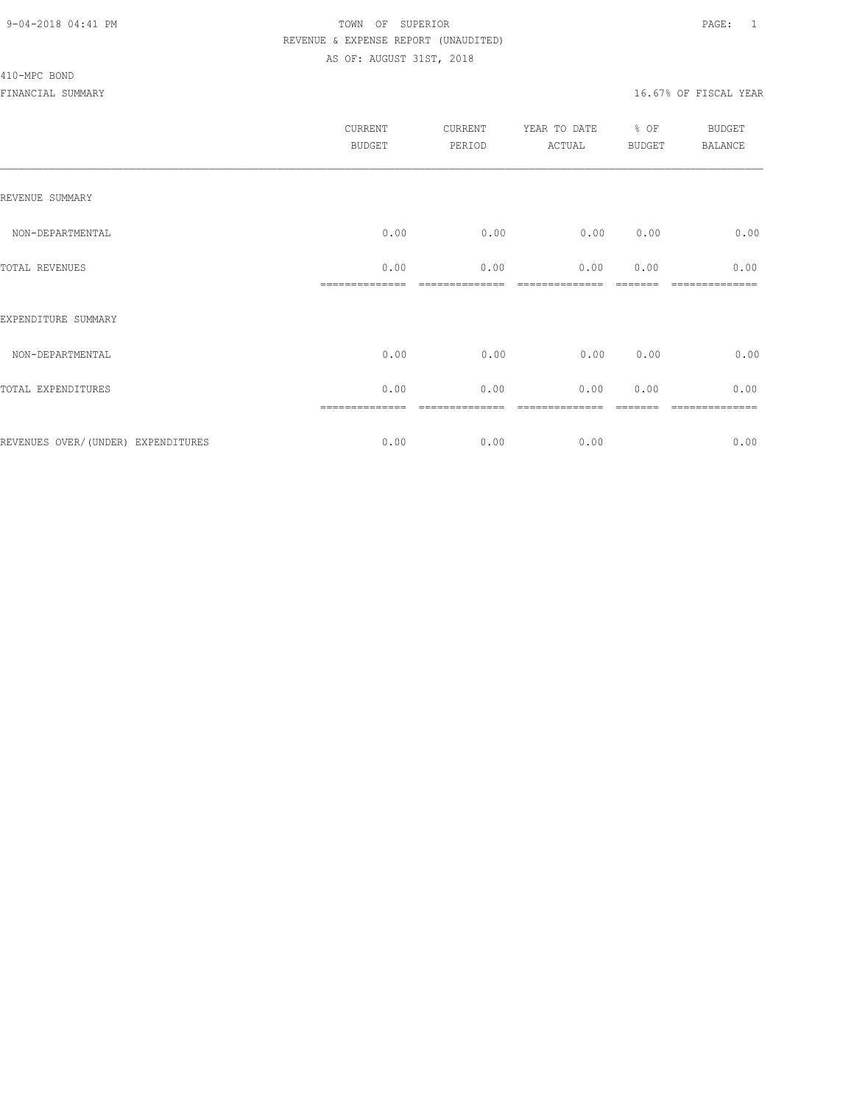#### 410-MPC BOND

|                                    | CURRENT<br><b>BUDGET</b> | CURRENT<br>PERIOD | YEAR TO DATE<br>ACTUAL | % OF<br><b>BUDGET</b> | <b>BUDGET</b><br><b>BALANCE</b> |
|------------------------------------|--------------------------|-------------------|------------------------|-----------------------|---------------------------------|
| REVENUE SUMMARY                    |                          |                   |                        |                       |                                 |
| NON-DEPARTMENTAL                   | 0.00                     | 0.00              | 0.00                   | 0.00                  | 0.00                            |
| TOTAL REVENUES                     | 0.00                     | 0.00              | 0.00                   | 0.00                  | 0.00                            |
| EXPENDITURE SUMMARY                |                          |                   |                        |                       |                                 |
| NON-DEPARTMENTAL                   | 0.00                     | 0.00              | 0.00                   | 0.00                  | 0.00                            |
| TOTAL EXPENDITURES                 | 0.00                     | 0.00              | 0.00                   | 0.00                  | 0.00                            |
| REVENUES OVER/(UNDER) EXPENDITURES | 0.00                     | 0.00              | 0.00                   |                       | =======<br>0.00                 |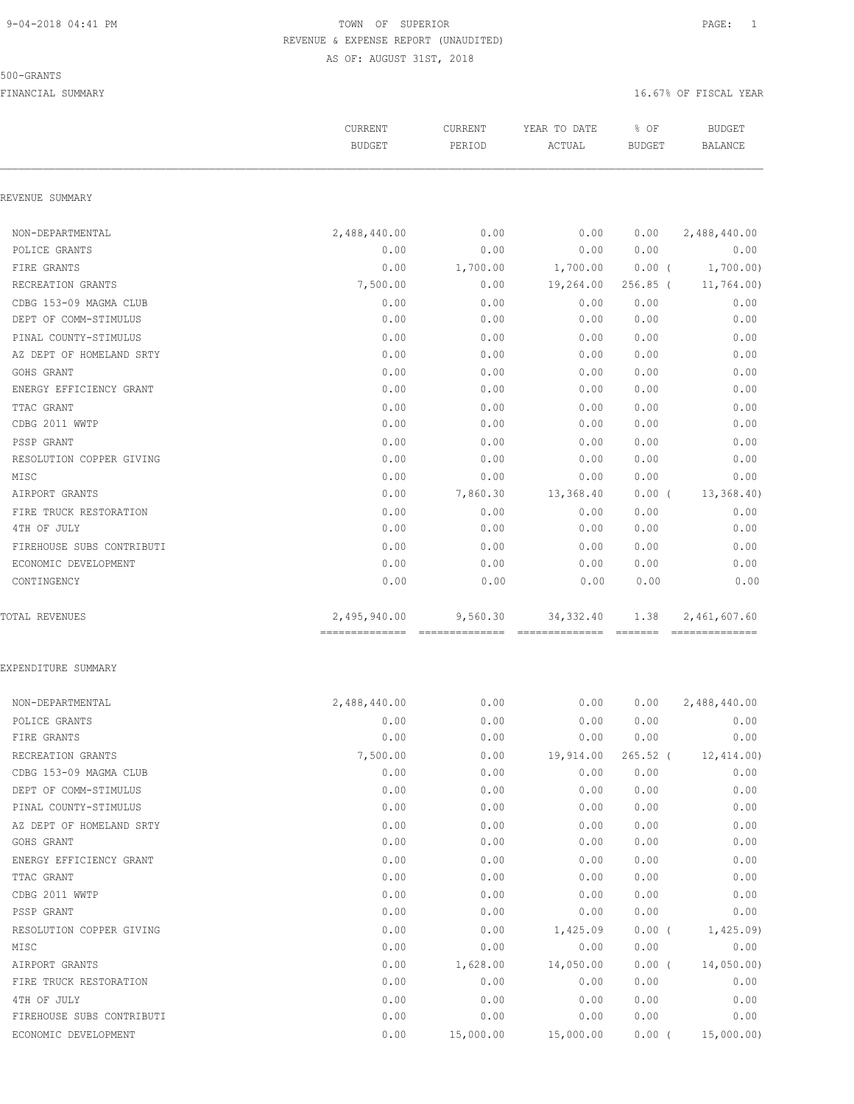#### 500-GRANTS

|                           | CURRENT<br><b>BUDGET</b> | CURRENT<br>PERIOD | YEAR TO DATE<br>ACTUAL | % OF<br><b>BUDGET</b> | <b>BUDGET</b><br>BALANCE       |
|---------------------------|--------------------------|-------------------|------------------------|-----------------------|--------------------------------|
| REVENUE SUMMARY           |                          |                   |                        |                       |                                |
| NON-DEPARTMENTAL          | 2,488,440.00             | 0.00              | 0.00                   | 0.00                  | 2,488,440.00                   |
| POLICE GRANTS             | 0.00                     | 0.00              | 0.00                   | 0.00                  | 0.00                           |
| FIRE GRANTS               | 0.00                     | 1,700.00          | 1,700.00               | $0.00$ (              | 1,700.00)                      |
| RECREATION GRANTS         | 7,500.00                 | 0.00              | 19,264.00              | $256.85$ (            | 11,764.00)                     |
| CDBG 153-09 MAGMA CLUB    | 0.00                     | 0.00              | 0.00                   | 0.00                  | 0.00                           |
| DEPT OF COMM-STIMULUS     | 0.00                     | 0.00              | 0.00                   | 0.00                  | 0.00                           |
| PINAL COUNTY-STIMULUS     | 0.00                     | 0.00              | 0.00                   | 0.00                  | 0.00                           |
| AZ DEPT OF HOMELAND SRTY  | 0.00                     | 0.00              | 0.00                   | 0.00                  | 0.00                           |
| GOHS GRANT                | 0.00                     | 0.00              | 0.00                   | 0.00                  | 0.00                           |
| ENERGY EFFICIENCY GRANT   | 0.00                     | 0.00              | 0.00                   | 0.00                  | 0.00                           |
| TTAC GRANT                | 0.00                     | 0.00              | 0.00                   | 0.00                  | 0.00                           |
| CDBG 2011 WWTP            | 0.00                     | 0.00              | 0.00                   | 0.00                  | 0.00                           |
| PSSP GRANT                | 0.00                     | 0.00              | 0.00                   | 0.00                  | 0.00                           |
| RESOLUTION COPPER GIVING  | 0.00                     | 0.00              | 0.00                   | 0.00                  | 0.00                           |
| MISC                      | 0.00                     | 0.00              | 0.00                   | 0.00                  | 0.00                           |
| AIRPORT GRANTS            | 0.00                     | 7,860.30          | 13,368.40              | $0.00$ (              | 13,368.40                      |
| FIRE TRUCK RESTORATION    | 0.00                     | 0.00              | 0.00                   | 0.00                  | 0.00                           |
| 4TH OF JULY               | 0.00                     | 0.00              | 0.00                   | 0.00                  | 0.00                           |
| FIREHOUSE SUBS CONTRIBUTI | 0.00                     | 0.00              | 0.00                   | 0.00                  | 0.00                           |
| ECONOMIC DEVELOPMENT      | 0.00                     | 0.00              | 0.00                   | 0.00                  | 0.00                           |
| CONTINGENCY               | 0.00                     | 0.00              | 0.00                   | 0.00                  | 0.00                           |
| TOTAL REVENUES            | 2,495,940.00             | 9,560.30          | 34, 332.40             | 1.38                  | 2,461,607.60<br>============== |
| EXPENDITURE SUMMARY       |                          |                   |                        |                       |                                |
| NON-DEPARTMENTAL          | 2,488,440.00             | 0.00              | 0.00                   | 0.00                  | 2,488,440.00                   |
| POLICE GRANTS             | 0.00                     | 0.00              | 0.00                   | 0.00                  | 0.00                           |
| FIRE GRANTS               | 0.00                     | 0.00              | 0.00                   | 0.00                  | 0.00                           |
| RECREATION GRANTS         | 7,500.00                 | 0.00              | 19,914.00              | $265.52$ (            | 12,414.00                      |
| CDBG 153-09 MAGMA CLUB    | 0.00                     | 0.00              | 0.00                   | 0.00                  | 0.00                           |
| DEPT OF COMM-STIMULUS     | 0.00                     | 0.00              | 0.00                   | 0.00                  | 0.00                           |
| PINAL COUNTY-STIMULUS     | 0.00                     | 0.00              | 0.00                   | 0.00                  | 0.00                           |
| AZ DEPT OF HOMELAND SRTY  | 0.00                     | 0.00              | 0.00                   | 0.00                  | 0.00                           |
| GOHS GRANT                | 0.00                     | 0.00              | 0.00                   | 0.00                  | 0.00                           |
| ENERGY EFFICIENCY GRANT   | 0.00                     | 0.00              | 0.00                   | 0.00                  | 0.00                           |
| TTAC GRANT                | 0.00                     | 0.00              | 0.00                   | 0.00                  | 0.00                           |
| CDBG 2011 WWTP            | 0.00                     | 0.00              | 0.00                   | 0.00                  | 0.00                           |
| PSSP GRANT                | 0.00                     | 0.00              | 0.00                   | 0.00                  | 0.00                           |
| RESOLUTION COPPER GIVING  | 0.00                     | 0.00              | 1,425.09               | $0.00$ (              | 1,425.09                       |
| MISC                      | 0.00                     | 0.00              | 0.00                   | 0.00                  | 0.00                           |
| AIRPORT GRANTS            | 0.00                     | 1,628.00          | 14,050.00              | $0.00$ (              | 14,050.00                      |
| FIRE TRUCK RESTORATION    | 0.00                     | 0.00              | 0.00                   | 0.00                  | 0.00                           |
| 4TH OF JULY               | 0.00                     | 0.00              | 0.00                   | 0.00                  | 0.00                           |
| FIREHOUSE SUBS CONTRIBUTI | 0.00                     | 0.00              | 0.00                   | 0.00                  | 0.00                           |
| ECONOMIC DEVELOPMENT      | 0.00                     | 15,000.00         | 15,000.00              | 0.00(                 | 15,000.00)                     |
|                           |                          |                   |                        |                       |                                |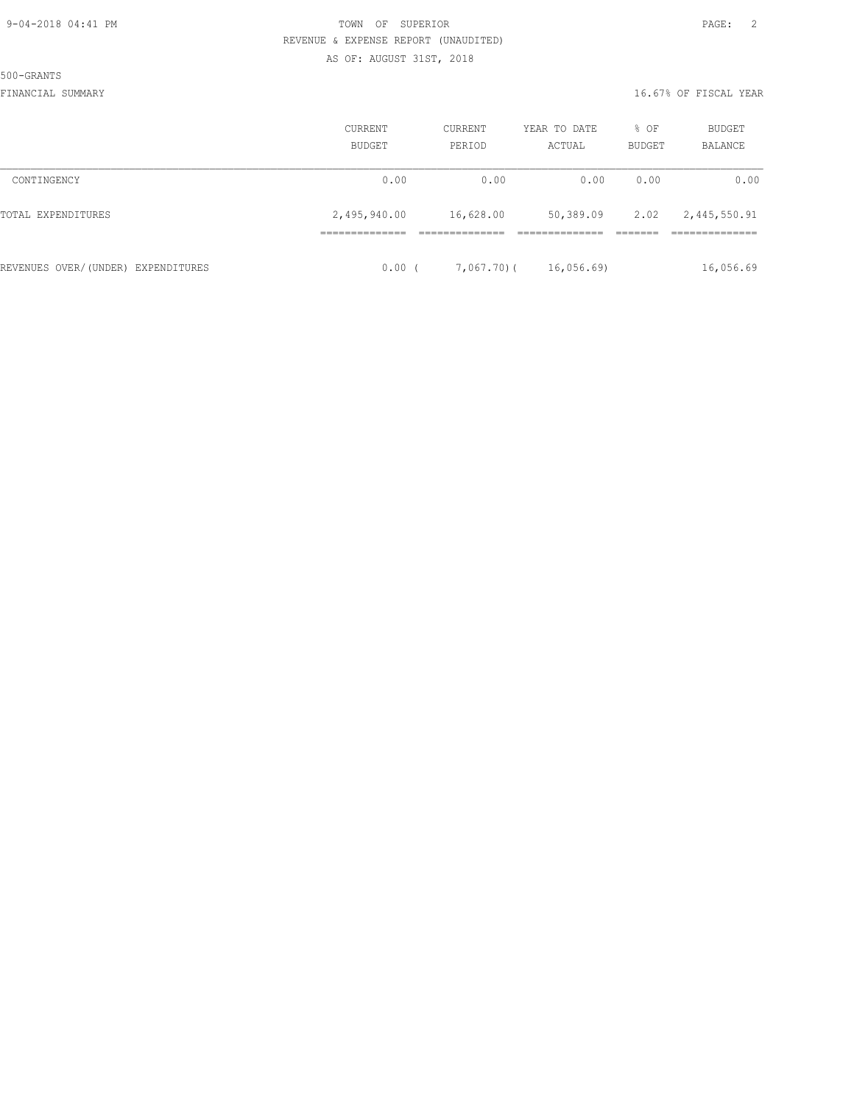500-GRANTS

|                                    | CURRENT<br>BUDGET | <b>CURRENT</b><br>PERIOD | YEAR TO DATE<br>ACTUAL | % OF<br><b>BUDGET</b> | <b>BUDGET</b><br>BALANCE |
|------------------------------------|-------------------|--------------------------|------------------------|-----------------------|--------------------------|
| CONTINGENCY                        | 0.00              | 0.00                     | 0.00                   | 0.00                  | 0.00                     |
| TOTAL EXPENDITURES                 | 2,495,940.00      | 16,628.00                | 50,389.09              | 2.02                  | 2,445,550.91             |
| REVENUES OVER/(UNDER) EXPENDITURES | 0.00(             | 7,067,70)(               | 16,056.69              |                       | 16,056.69                |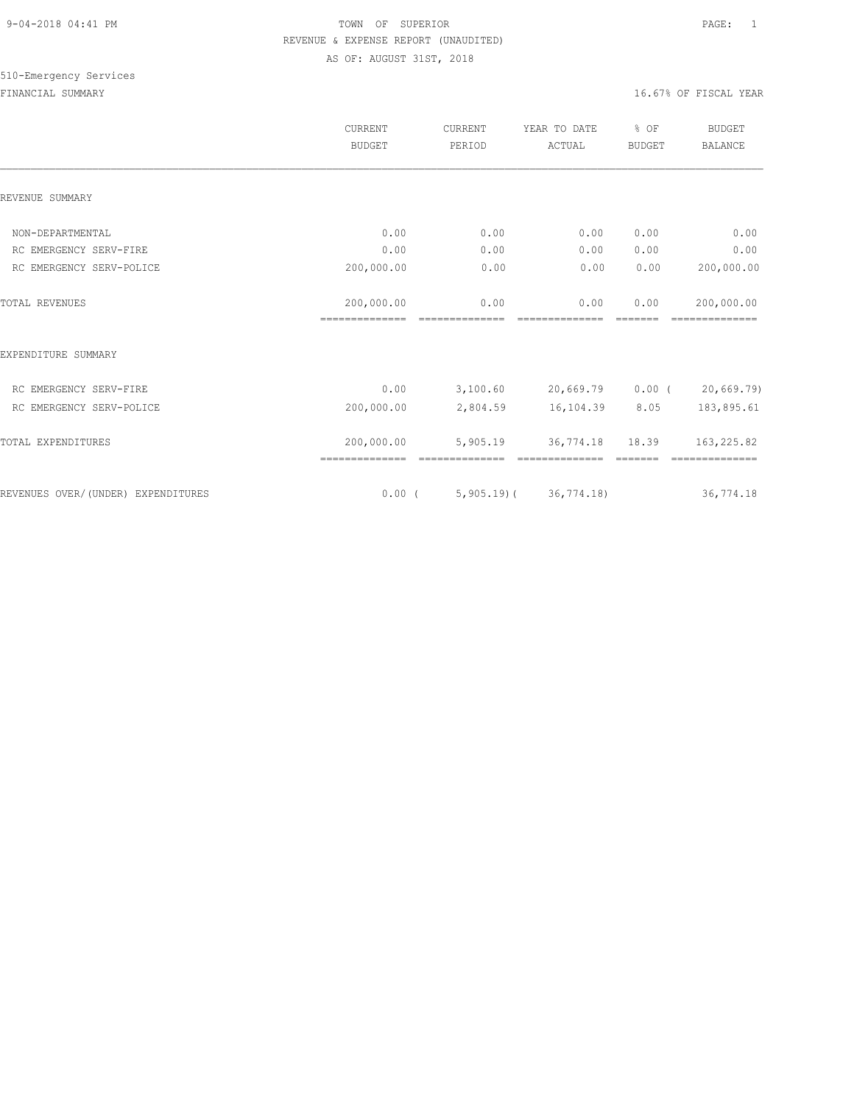|                                    | <b>CURRENT</b><br><b>BUDGET</b> | CURRENT<br>PERIOD | YEAR TO DATE<br>ACTUAL | % OF<br><b>BUDGET</b> | <b>BUDGET</b><br><b>BALANCE</b> |
|------------------------------------|---------------------------------|-------------------|------------------------|-----------------------|---------------------------------|
| REVENUE SUMMARY                    |                                 |                   |                        |                       |                                 |
| NON-DEPARTMENTAL                   | 0.00                            | 0.00              | 0.00                   | 0.00                  | 0.00                            |
| RC EMERGENCY SERV-FIRE             | 0.00                            | 0.00              | 0.00                   | 0.00                  | 0.00                            |
| RC EMERGENCY SERV-POLICE           | 200,000.00                      | 0.00              | 0.00                   | 0.00                  | 200,000.00                      |
| <b>TOTAL REVENUES</b>              | 200,000.00<br>==============    | 0.00              | 0.00                   | 0.00                  | 200,000.00                      |
| EXPENDITURE SUMMARY                |                                 |                   |                        |                       |                                 |
| RC EMERGENCY SERV-FIRE             | 0.00                            | 3,100.60          | 20,669.79              | $0.00$ (              | 20,669.79                       |
| RC EMERGENCY SERV-POLICE           | 200,000.00                      | 2,804.59          | 16,104.39              | 8.05                  | 183,895.61                      |
| TOTAL EXPENDITURES                 | 200,000.00<br>==============    | 5,905.19          | 36,774.18              | 18.39                 | 163,225.82                      |
| REVENUES OVER/(UNDER) EXPENDITURES | $0.00$ (                        | $5,905.19$ (      | 36, 774.18             |                       | 36,774.18                       |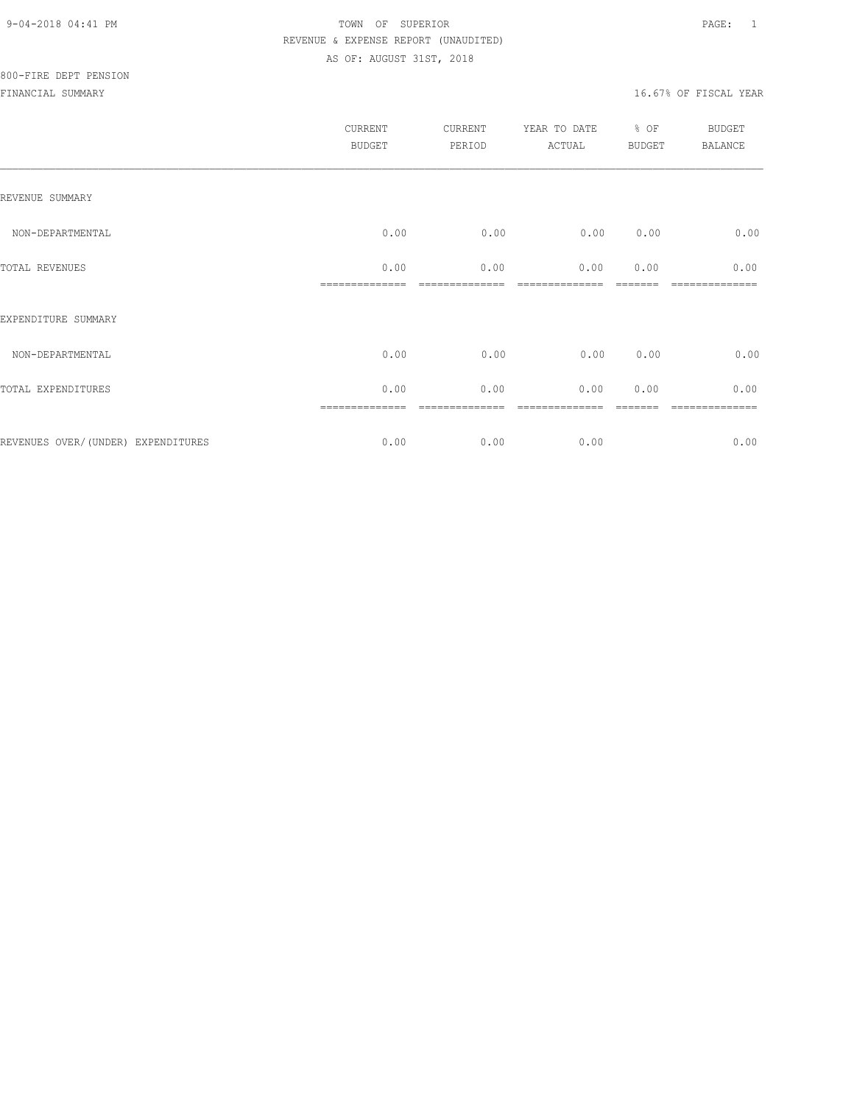|                                    | CURRENT<br>BUDGET | CURRENT<br>PERIOD | YEAR TO DATE<br>ACTUAL | % OF<br>BUDGET | BUDGET<br>BALANCE |
|------------------------------------|-------------------|-------------------|------------------------|----------------|-------------------|
| REVENUE SUMMARY                    |                   |                   |                        |                |                   |
| NON-DEPARTMENTAL                   | 0.00              | 0.00              | 0.00                   | 0.00           | 0.00              |
| TOTAL REVENUES                     | 0.00              | 0.00              | 0.00                   | 0.00           | 0.00              |
| EXPENDITURE SUMMARY                |                   |                   |                        |                |                   |
| NON-DEPARTMENTAL                   | 0.00              | 0.00              | 0.00                   | 0.00           | 0.00              |
| TOTAL EXPENDITURES                 | 0.00              | 0.00              | 0.00                   | 0.00           | 0.00              |
|                                    |                   |                   |                        |                |                   |
| REVENUES OVER/(UNDER) EXPENDITURES | 0.00              | 0.00              | 0.00                   |                | 0.00              |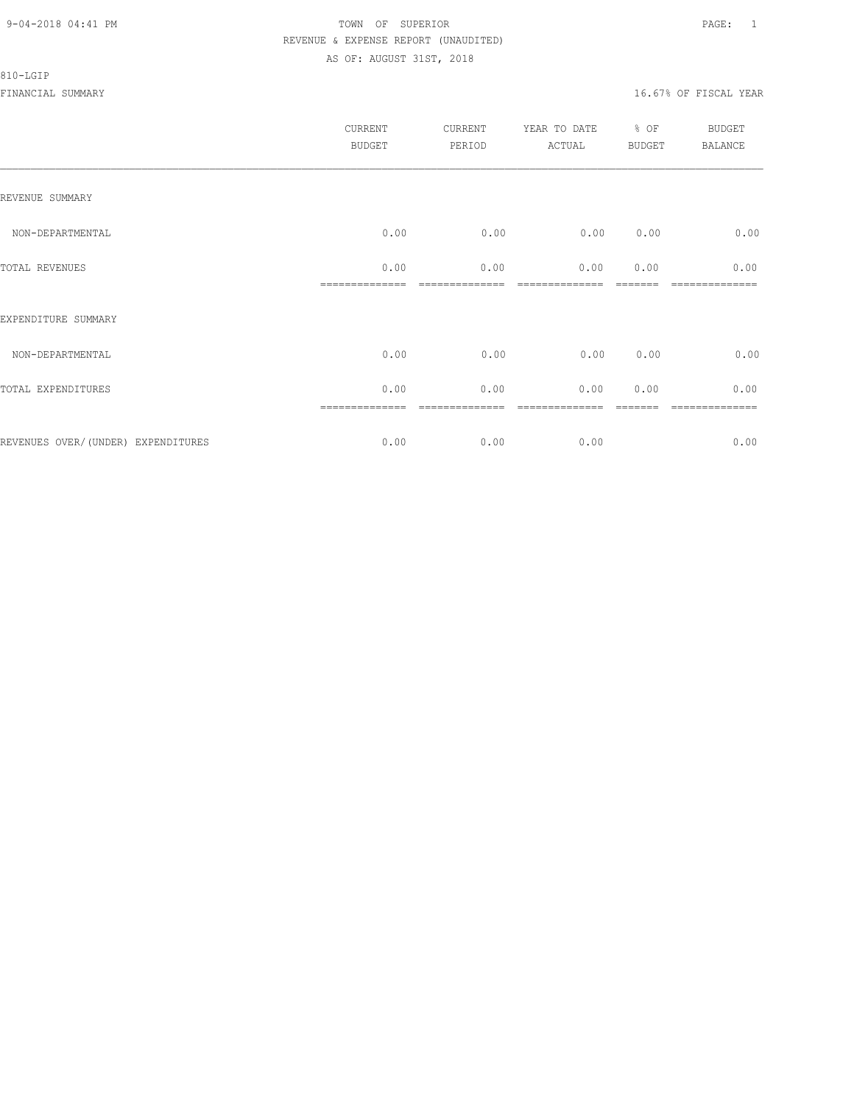#### 810-LGIP

|                                    | <b>CURRENT</b><br><b>BUDGET</b> | CURRENT<br>PERIOD | YEAR TO DATE<br>ACTUAL | % OF<br><b>BUDGET</b> | BUDGET<br><b>BALANCE</b> |
|------------------------------------|---------------------------------|-------------------|------------------------|-----------------------|--------------------------|
| REVENUE SUMMARY                    |                                 |                   |                        |                       |                          |
| NON-DEPARTMENTAL                   | 0.00                            | 0.00              | 0.00                   | 0.00                  | 0.00                     |
| TOTAL REVENUES                     | 0.00                            | 0.00              | 0.00                   | 0.00                  | 0.00                     |
| EXPENDITURE SUMMARY                |                                 |                   |                        |                       |                          |
| NON-DEPARTMENTAL                   | 0.00                            | 0.00              | 0.00                   | 0.00                  | 0.00                     |
| TOTAL EXPENDITURES                 | 0.00                            | 0.00              | 0.00                   | 0.00                  | 0.00                     |
| REVENUES OVER/(UNDER) EXPENDITURES | 0.00                            | 0.00              | 0.00                   |                       | =======<br>0.00          |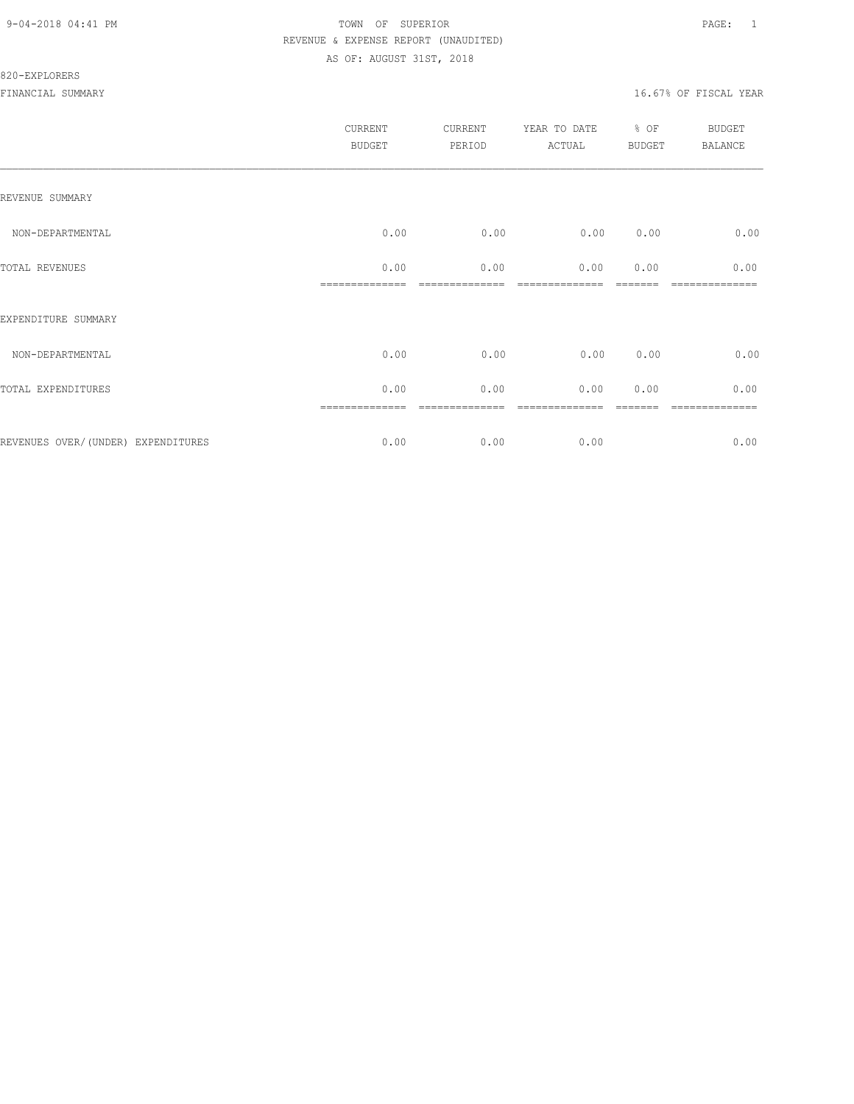#### 820-EXPLORERS

|                                    | CURRENT<br><b>BUDGET</b> | CURRENT<br>PERIOD | YEAR TO DATE<br>ACTUAL | % OF<br><b>BUDGET</b> | <b>BUDGET</b><br><b>BALANCE</b> |
|------------------------------------|--------------------------|-------------------|------------------------|-----------------------|---------------------------------|
| REVENUE SUMMARY                    |                          |                   |                        |                       |                                 |
| NON-DEPARTMENTAL                   | 0.00                     | 0.00              | 0.00                   | 0.00                  | 0.00                            |
| TOTAL REVENUES                     | 0.00                     | 0.00              | 0.00                   | 0.00                  | 0.00                            |
| EXPENDITURE SUMMARY                |                          |                   |                        |                       |                                 |
| NON-DEPARTMENTAL                   | 0.00                     | 0.00              | 0.00                   | 0.00                  | 0.00                            |
| TOTAL EXPENDITURES                 | 0.00                     | 0.00              | 0.00                   | 0.00                  | 0.00                            |
| REVENUES OVER/(UNDER) EXPENDITURES | 0.00                     | 0.00              | 0.00                   |                       | =======<br>0.00                 |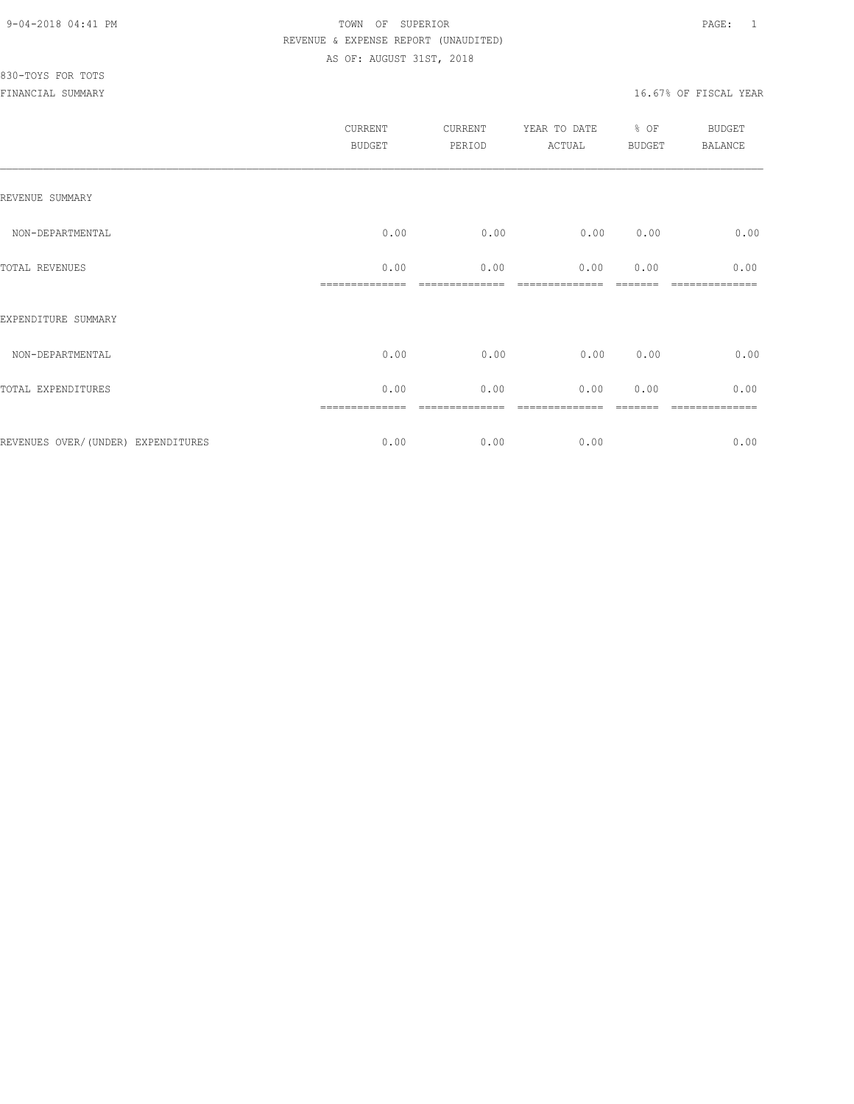# 830-TOYS FOR TOTS

| <b>CURRENT</b><br><b>BUDGET</b> | CURRENT<br>PERIOD | YEAR TO DATE<br>ACTUAL | % OF<br><b>BUDGET</b> | <b>BUDGET</b><br><b>BALANCE</b> |
|---------------------------------|-------------------|------------------------|-----------------------|---------------------------------|
|                                 |                   |                        |                       |                                 |
| 0.00                            | 0.00              | 0.00                   | 0.00                  | 0.00                            |
| 0.00                            | 0.00              | 0.00                   | 0.00                  | 0.00<br>-----------             |
|                                 |                   |                        |                       |                                 |
| 0.00                            | 0.00              | 0.00                   | 0.00                  | 0.00                            |
| 0.00                            | 0.00              | 0.00                   | 0.00                  | 0.00                            |
| 0.00                            | 0.00              | 0.00                   |                       | 0.00                            |
|                                 |                   |                        |                       |                                 |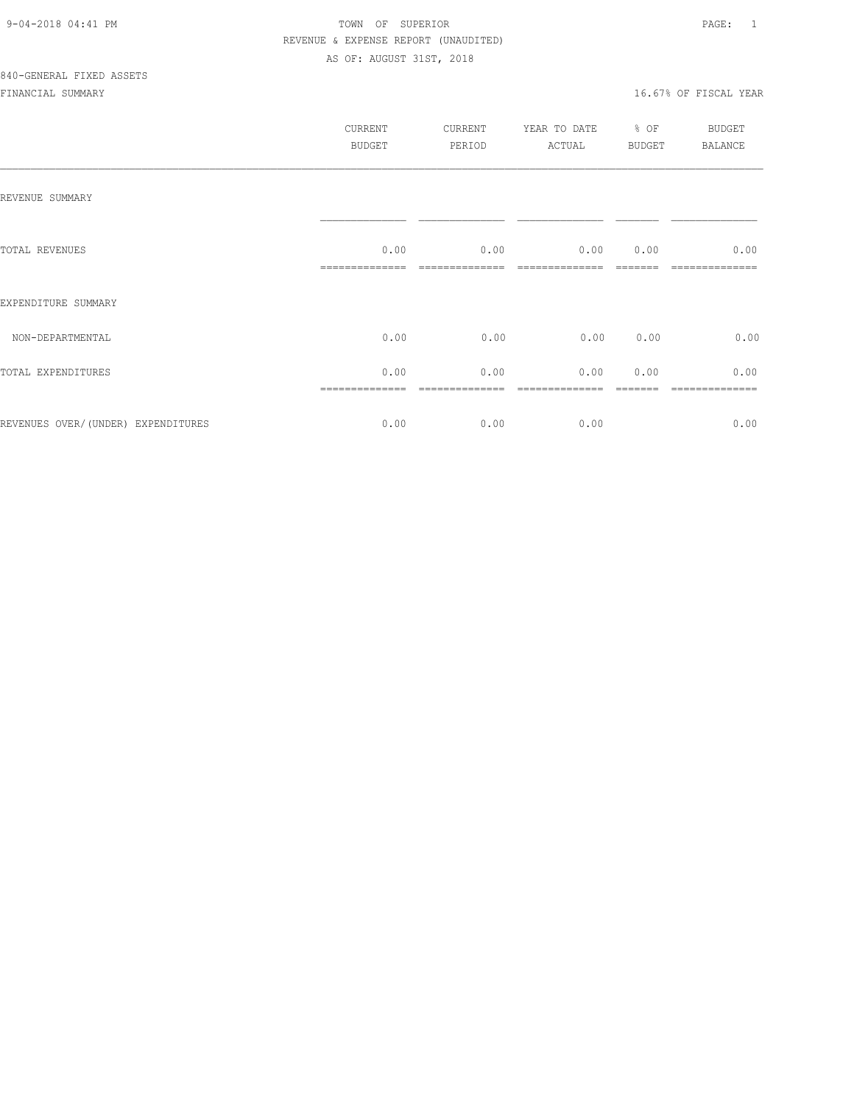|                                     | CURRENT<br>BUDGET | CURRENT<br>PERIOD | YEAR TO DATE<br>ACTUAL | % OF<br>BUDGET | BUDGET<br>BALANCE |
|-------------------------------------|-------------------|-------------------|------------------------|----------------|-------------------|
| REVENUE SUMMARY                     |                   |                   |                        |                |                   |
| TOTAL REVENUES                      | 0.00              | 0.00              | 0.00                   | 0.00           | 0.00              |
| EXPENDITURE SUMMARY                 |                   |                   |                        |                |                   |
| NON-DEPARTMENTAL                    | 0.00              | 0.00              | 0.00 0.00              |                | 0.00              |
| TOTAL EXPENDITURES                  | 0.00              | 0.00              | 0.00                   | 0.00           | 0.00              |
| REVENUES OVER/ (UNDER) EXPENDITURES | 0.00              | 0.00              | 0.00                   |                | 0.00              |